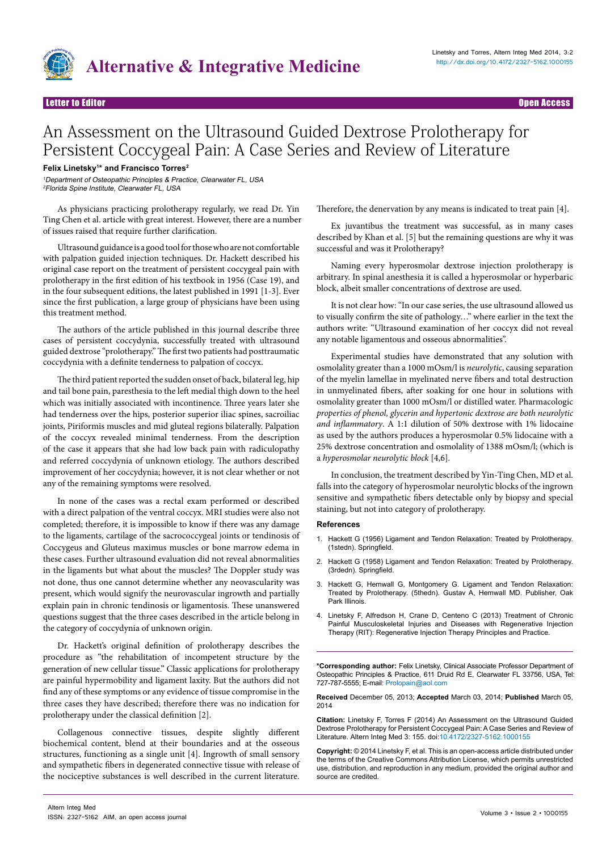

Letter to Editor Open Access

## An Assessment on the Ultrasound Guided Dextrose Prolotherapy for Persistent Coccygeal Pain: A Case Series and Review of Literature

## **Felix Linetsky1 \* and Francisco Torres2**

<sup>1</sup>Department of Osteopathic Principles & Practice, Clearwater FL, USA 2Florida Spine Institute, Clearwater FL, USA

As physicians practicing prolotherapy regularly, we read Dr. Yin Ting Chen et al. article with great interest. However, there are a number of issues raised that require further clarification.

Ultrasound guidance is a good tool for those who are not comfortable with palpation guided injection techniques. Dr. Hackett described his original case report on the treatment of persistent coccygeal pain with prolotherapy in the first edition of his textbook in 1956 (Case 19), and in the four subsequent editions, the latest published in 1991 [1-3]. Ever since the first publication, a large group of physicians have been using this treatment method.

The authors of the article published in this journal describe three cases of persistent coccydynia, successfully treated with ultrasound guided dextrose "prolotherapy." The first two patients had posttraumatic coccydynia with a definite tenderness to palpation of coccyx.

The third patient reported the sudden onset of back, bilateral leg, hip and tail bone pain, paresthesia to the left medial thigh down to the heel which was initially associated with incontinence. Three years later she had tenderness over the hips, posterior superior iliac spines, sacroiliac joints, Piriformis muscles and mid gluteal regions bilaterally. Palpation of the coccyx revealed minimal tenderness. From the description of the case it appears that she had low back pain with radiculopathy and referred coccydynia of unknown etiology. The authors described improvement of her coccydynia; however, it is not clear whether or not any of the remaining symptoms were resolved.

In none of the cases was a rectal exam performed or described with a direct palpation of the ventral coccyx. MRI studies were also not completed; therefore, it is impossible to know if there was any damage to the ligaments, cartilage of the sacrococcygeal joints or tendinosis of Coccygeus and Gluteus maximus muscles or bone marrow edema in these cases. Further ultrasound evaluation did not reveal abnormalities in the ligaments but what about the muscles? The Doppler study was not done, thus one cannot determine whether any neovascularity was present, which would signify the neurovascular ingrowth and partially explain pain in chronic tendinosis or ligamentosis. These unanswered questions suggest that the three cases described in the article belong in the category of coccydynia of unknown origin.

Dr. Hackett's original definition of prolotherapy describes the procedure as "the rehabilitation of incompetent structure by the generation of new cellular tissue." Classic applications for prolotherapy are painful hypermobility and ligament laxity. But the authors did not find any of these symptoms or any evidence of tissue compromise in the three cases they have described; therefore there was no indication for prolotherapy under the classical definition [2].

Collagenous connective tissues, despite slightly different biochemical content, blend at their boundaries and at the osseous structures, functioning as a single unit [4]. Ingrowth of small sensory and sympathetic fibers in degenerated connective tissue with release of the nociceptive substances is well described in the current literature.

Therefore, the denervation by any means is indicated to treat pain [4].

Ex juvantibus the treatment was successful, as in many cases described by Khan et al. [5] but the remaining questions are why it was successful and was it Prolotherapy?

Naming every hyperosmolar dextrose injection prolotherapy is arbitrary. In spinal anesthesia it is called a hyperosmolar or hyperbaric block, albeit smaller concentrations of dextrose are used.

It is not clear how: "In our case series, the use ultrasound allowed us to visually confirm the site of pathology…" where earlier in the text the authors write: "Ultrasound examination of her coccyx did not reveal any notable ligamentous and osseous abnormalities".

Experimental studies have demonstrated that any solution with osmolality greater than a 1000 mOsm/l is *neurolytic*, causing separation of the myelin lamellae in myelinated nerve fibers and total destruction in unmyelinated fibers, after soaking for one hour in solutions with osmolality greater than 1000 mOsm/l or distilled water. Pharmacologic *properties of phenol, glycerin and hypertonic dextrose are both neurolytic and inflammatory*. A 1:1 dilution of 50% dextrose with 1% lidocaine as used by the authors produces a hyperosmolar 0.5% lidocaine with a 25% dextrose concentration and osmolality of 1388 mOsm/l; (which is a *hyperosmolar neurolytic block* [4,6].

In conclusion, the treatment described by Yin-Ting Chen, MD et al. falls into the category of hyperosmolar neurolytic blocks of the ingrown sensitive and sympathetic fibers detectable only by biopsy and special staining, but not into category of prolotherapy.

## **References**

- Hackett G (1956) Ligament and Tendon Relaxation: Treated by Prolotherapy. (1stedn). Springfield.
- 2. Hackett G (1958) Ligament and Tendon Relaxation: Treated by Prolotherapy. (3rdedn). Springfield.
- 3. Hackett G, Hemwall G, Montgomery G. Ligament and Tendon Relaxation: Treated by Prolotherapy. (5thedn). Gustav A, Hemwall MD. Publisher, Oak Park Illinois.
- 4. Linetsky F, Alfredson H, Crane D, Centeno C (2013) Treatment of Chronic Painful Musculoskeletal Injuries and Diseases with Regenerative Injection Therapy (RIT): Regenerative Injection Therapy Principles and Practice.

**\*Corresponding author:** Felix Linetsky, Clinical Associate Professor Department of Osteopathic Principles & Practice, 611 Druid Rd E, Clearwater FL 33756, USA, Tel: 727-787-5555; E-mail: Prolopain@aol.com

**Received** December 05, 2013; **Accepted** March 03, 2014; **Published** March 05, 2014

**Citation:** Linetsky F, Torres F (2014) An Assessment on the Ultrasound Guided Dextrose Prolotherapy for Persistent Coccygeal Pain: A Case Series and Review of Literature. Altern Integ Med 3: 155. doi[:10.4172/2327-5162.1000155](http://dx.doi.org/10.4172/2327-5162.1000155)

**Copyright:** © 2014 Linetsky F, et al. This is an open-access article distributed under the terms of the Creative Commons Attribution License, which permits unrestricted use, distribution, and reproduction in any medium, provided the original author and source are credited.